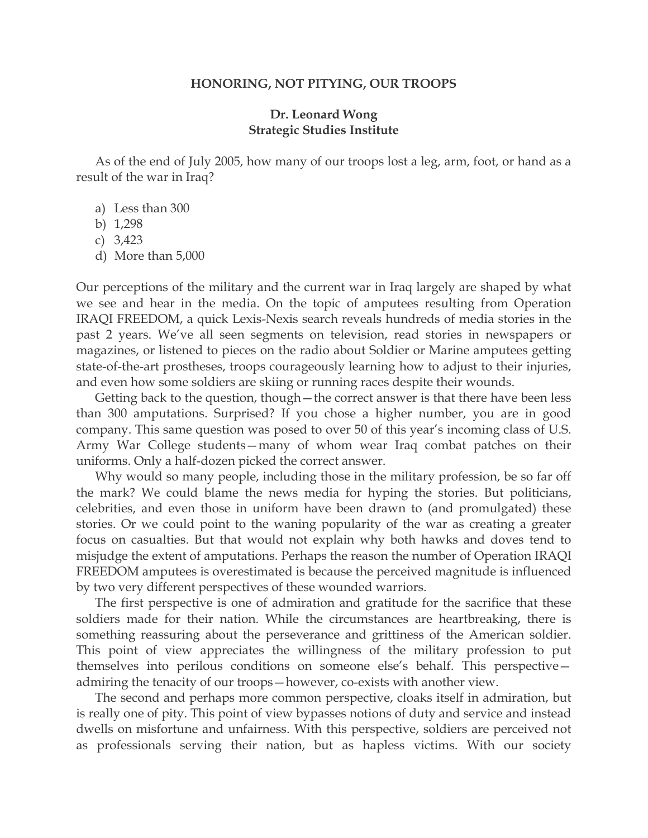## **HONORING, NOT PITYING, OUR TROOPS**

## **Dr. Leonard Wong Strategic Studies Institute**

 As of the end of July 2005, how many of our troops lost a leg, arm, foot, or hand as a result of the war in Iraq?

- a) Less than 300
- b) 1,298
- c) 3,423
- d) More than 5,000

Our perceptions of the military and the current war in Iraq largely are shaped by what we see and hear in the media. On the topic of amputees resulting from Operation IRAQI FREEDOM, a quick Lexis-Nexis search reveals hundreds of media stories in the past 2 years. We've all seen segments on television, read stories in newspapers or magazines, or listened to pieces on the radio about Soldier or Marine amputees getting state-of-the-art prostheses, troops courageously learning how to adjust to their injuries, and even how some soldiers are skiing or running races despite their wounds.

 Getting back to the question, though—the correct answer is that there have been less than 300 amputations. Surprised? If you chose a higher number, you are in good company. This same question was posed to over 50 of this year's incoming class of U.S. Army War College students—many of whom wear Iraq combat patches on their uniforms. Only a half-dozen picked the correct answer.

 Why would so many people, including those in the military profession, be so far off the mark? We could blame the news media for hyping the stories. But politicians, celebrities, and even those in uniform have been drawn to (and promulgated) these stories. Or we could point to the waning popularity of the war as creating a greater focus on casualties. But that would not explain why both hawks and doves tend to misjudge the extent of amputations. Perhaps the reason the number of Operation IRAQI FREEDOM amputees is overestimated is because the perceived magnitude is influenced by two very different perspectives of these wounded warriors.

 The first perspective is one of admiration and gratitude for the sacrifice that these soldiers made for their nation. While the circumstances are heartbreaking, there is something reassuring about the perseverance and grittiness of the American soldier. This point of view appreciates the willingness of the military profession to put themselves into perilous conditions on someone else's behalf. This perspective admiring the tenacity of our troops—however, co-exists with another view.

 The second and perhaps more common perspective, cloaks itself in admiration, but is really one of pity. This point of view bypasses notions of duty and service and instead dwells on misfortune and unfairness. With this perspective, soldiers are perceived not as professionals serving their nation, but as hapless victims. With our society